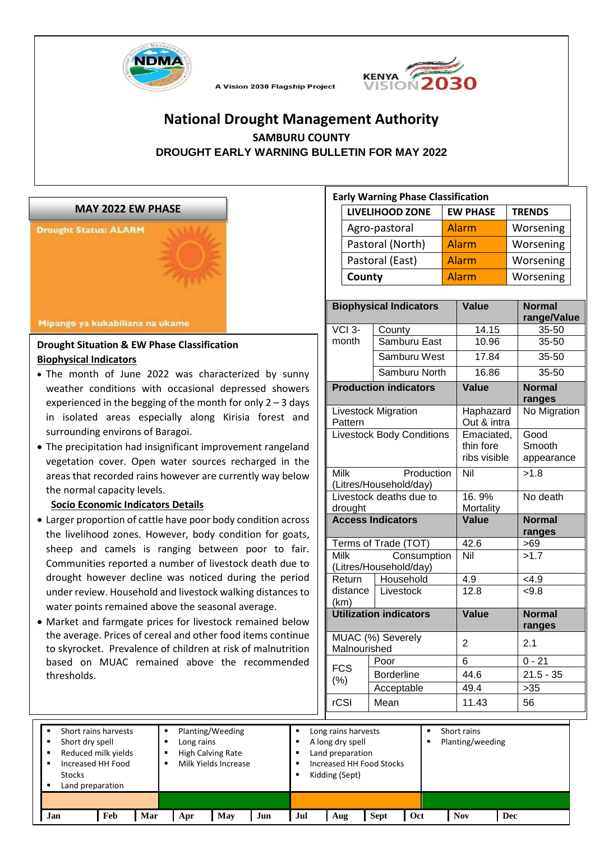



# **National Drought Management Authority SAMBURU COUNTY DROUGHT EARLY WARNING BULLETIN FOR MAY 2022**

A Vision 2030 Flagship Project



#### **Drought Situation & EW Phase Classification Biophysical Indicators**

- The month of June 2022 was characterized by sunny weather conditions with occasional depressed showers experienced in the begging of the month for only  $2 - 3$  days in isolated areas especially along Kirisia forest and surrounding environs of Baragoi.
- The precipitation had insignificant improvement rangeland vegetation cover. Open water sources recharged in the areas that recorded rains however are currently way below the normal capacity levels.

#### **Socio Economic Indicators Details**

- Larger proportion of cattle have poor body condition across the livelihood zones. However, body condition for goats, sheep and camels is ranging between poor to fair. Communities reported a number of livestock death due to drought however decline was noticed during the period under review. Household and livestock walking distances to water points remained above the seasonal average.
- Market and farmgate prices for livestock remained below the average. Prices of cereal and other food items continue to skyrocket. Prevalence of children at risk of malnutrition based on MUAC remained above the recommended thresholds.

| <b>Early Warning Phase Classification</b> |                 |               |  |  |
|-------------------------------------------|-----------------|---------------|--|--|
| <b>LIVELIHOOD ZONE</b>                    | <b>EW PHASE</b> | <b>TRENDS</b> |  |  |
| Agro-pastoral                             | Alarm           | Worsening     |  |  |
| Pastoral (North)                          | Alarm           | Worsening     |  |  |
| Pastoral (East)                           | Alarm           | Worsening     |  |  |
| County                                    | Alarm           | Worsening     |  |  |

|                                   | <b>Biophysical Indicators</b>         | <b>Value</b>                            | <b>Normal</b><br>range/Value |  |
|-----------------------------------|---------------------------------------|-----------------------------------------|------------------------------|--|
| VCI <sub>3</sub> -                | County                                | 14.15                                   | 35-50                        |  |
| month                             | Samburu East                          | 10.96                                   | 35-50                        |  |
| Samburu West                      |                                       | 17.84                                   | 35-50                        |  |
|                                   | Samburu North                         | 16.86                                   | 35-50                        |  |
|                                   | <b>Production indicators</b>          | <b>Value</b>                            | <b>Normal</b>                |  |
|                                   |                                       |                                         | ranges                       |  |
| Pattern                           | <b>Livestock Migration</b>            | Haphazard<br>Out & intra                | No Migration                 |  |
|                                   | <b>Livestock Body Conditions</b>      | Emaciated,<br>thin fore<br>ribs visible | Good<br>Smooth<br>appearance |  |
| <b>Milk</b>                       | Production<br>(Litres/Household/day)  | Nil                                     | >1.8                         |  |
| drought                           | Livestock deaths due to               | 16.9%<br>Mortality                      | No death                     |  |
|                                   | <b>Access Indicators</b>              | Value                                   | <b>Normal</b>                |  |
|                                   |                                       |                                         | ranges                       |  |
|                                   | Terms of Trade (TOT)                  | 42.6                                    | >69                          |  |
| Milk                              | Consumption<br>(Litres/Household/day) | $\overline{\text{Nil}}$                 | >1.7                         |  |
| Return                            | Household                             |                                         | 4.9                          |  |
| distance<br>(km)                  | Livestock                             | $\overline{12.8}$                       | < 9.8                        |  |
| <b>Utilization indicators</b>     |                                       | <b>Value</b>                            | <b>Normal</b><br>ranges      |  |
| MUAC (%) Severely<br>Malnourished |                                       | $\overline{2}$                          | 2.1                          |  |
|                                   | Poor                                  | 6                                       | $0 - 21$                     |  |
| <b>FCS</b><br>$(\%)$              | <b>Borderline</b>                     | 44.6                                    | $21.5 - 35$                  |  |
|                                   | Acceptable                            | 49.4                                    | $>35$                        |  |
| rCSI                              | Mean                                  | 11.43                                   | 56                           |  |

| Short rains harvests<br>$\blacksquare$<br>Short dry spell<br>$\blacksquare$<br>Increased HH Food<br>$\blacksquare$<br><b>Stocks</b><br>Land preparation<br>٠ | Reduced milk yields |     | Long rains | Planting/Weeding<br><b>High Calving Rate</b><br>Milk Yields Increase |     |     | Long rains harvests<br>A long dry spell<br>Land preparation<br>Kidding (Sept) | Increased HH Food Stocks |     | Short rains<br>Planting/weeding |     |  |
|--------------------------------------------------------------------------------------------------------------------------------------------------------------|---------------------|-----|------------|----------------------------------------------------------------------|-----|-----|-------------------------------------------------------------------------------|--------------------------|-----|---------------------------------|-----|--|
| Jan                                                                                                                                                          | Feb                 | Mar | Apr        | May                                                                  | Jun | Jul | Aug                                                                           | <b>Sept</b>              | Oct | <b>Nov</b>                      | Dec |  |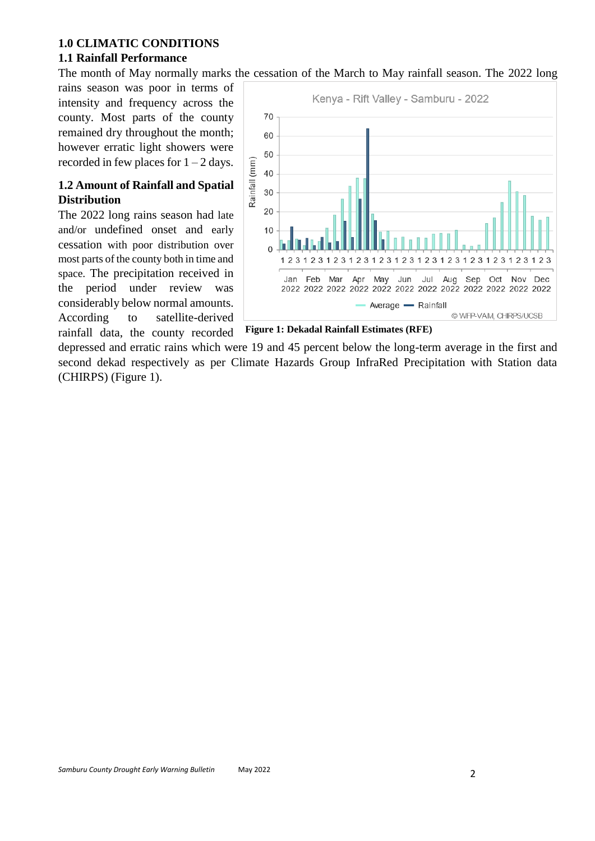#### **1.0 CLIMATIC CONDITIONS**

#### **1.1 Rainfall Performance**

The month of May normally marks the cessation of the March to May rainfall season. The 2022 long

rains season was poor in terms of intensity and frequency across the county. Most parts of the county remained dry throughout the month; however erratic light showers were recorded in few places for  $1 - 2$  days.

### **1.2 Amount of Rainfall and Spatial Distribution**

The 2022 long rains season had late and/or undefined onset and early cessation with poor distribution over most parts of the county both in time and space. The precipitation received in the period under review was considerably below normal amounts. According to satellite-derived rainfall data, the county recorded



**Figure 1: Dekadal Rainfall Estimates (RFE)**

depressed and erratic rains which were 19 and 45 percent below the long-term average in the first and second dekad respectively as per Climate Hazards Group InfraRed Precipitation with Station data (CHIRPS) (Figure 1).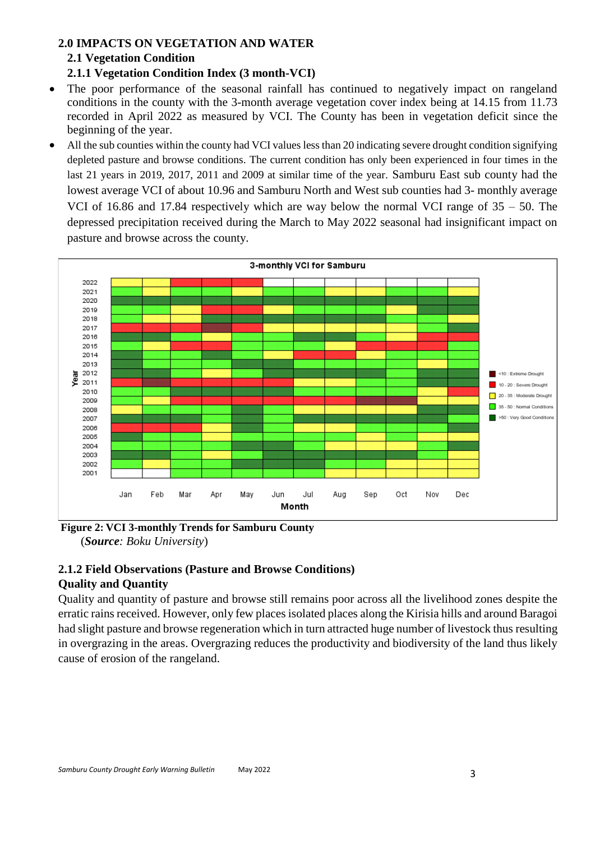# **2.0 IMPACTS ON VEGETATION AND WATER 2.1 Vegetation Condition 2.1.1 Vegetation Condition Index (3 month-VCI)**

- The poor performance of the seasonal rainfall has continued to negatively impact on rangeland conditions in the county with the 3-month average vegetation cover index being at 14.15 from 11.73 recorded in April 2022 as measured by VCI. The County has been in vegetation deficit since the beginning of the year.
- All the sub counties within the county had VCI values less than 20 indicating severe drought condition signifying depleted pasture and browse conditions. The current condition has only been experienced in four times in the last 21 years in 2019, 2017, 2011 and 2009 at similar time of the year. Samburu East sub county had the lowest average VCI of about 10.96 and Samburu North and West sub counties had 3- monthly average VCI of 16.86 and 17.84 respectively which are way below the normal VCI range of 35 – 50. The depressed precipitation received during the March to May 2022 seasonal had insignificant impact on pasture and browse across the county.



**Figure 2: VCI 3-monthly Trends for Samburu County** (*Source: Boku University*)

# **2.1.2 Field Observations (Pasture and Browse Conditions) Quality and Quantity**

Quality and quantity of pasture and browse still remains poor across all the livelihood zones despite the erratic rains received. However, only few places isolated places along the Kirisia hills and around Baragoi had slight pasture and browse regeneration which in turn attracted huge number of livestock thus resulting in overgrazing in the areas. Overgrazing reduces the productivity and biodiversity of the land thus likely cause of erosion of the rangeland.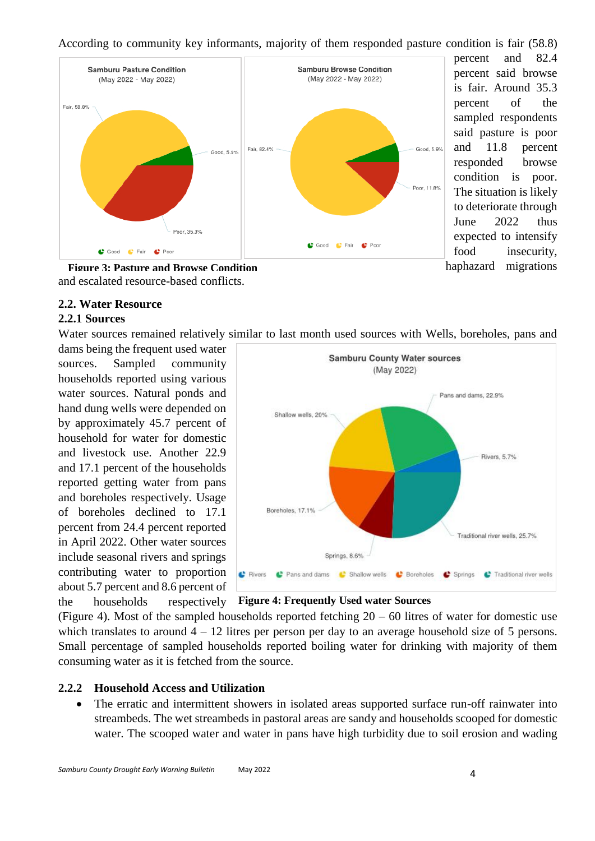According to community key informants, majority of them responded pasture condition is fair (58.8)



percent and 82.4 percent said browse is fair. Around 35.3 percent of the sampled respondents said pasture is poor and 11.8 percent responded browse condition is poor. The situation is likely to deteriorate through June 2022 thus expected to intensify food insecurity, haphazard migrations

and escalated resource-based conflicts. **Figure 3: Pasture and Browse Condition**

### **2.2. Water Resource**

### **2.2.1 Sources**

Water sources remained relatively similar to last month used sources with Wells, boreholes, pans and

dams being the frequent used water sources. Sampled community households reported using various water sources. Natural ponds and hand dung wells were depended on by approximately 45.7 percent of household for water for domestic and livestock use. Another 22.9 and 17.1 percent of the households reported getting water from pans and boreholes respectively. Usage of boreholes declined to 17.1 percent from 24.4 percent reported in April 2022. Other water sources include seasonal rivers and springs contributing water to proportion about 5.7 percent and 8.6 percent of the households respectively



**Figure 4: Frequently Used water Sources**

(Figure 4). Most of the sampled households reported fetching  $20 - 60$  litres of water for domestic use which translates to around  $4 - 12$  litres per person per day to an average household size of 5 persons. Small percentage of sampled households reported boiling water for drinking with majority of them consuming water as it is fetched from the source.

#### **2.2.2 Household Access and Utilization**

• The erratic and intermittent showers in isolated areas supported surface run-off rainwater into streambeds. The wet streambeds in pastoral areas are sandy and households scooped for domestic water. The scooped water and water in pans have high turbidity due to soil erosion and wading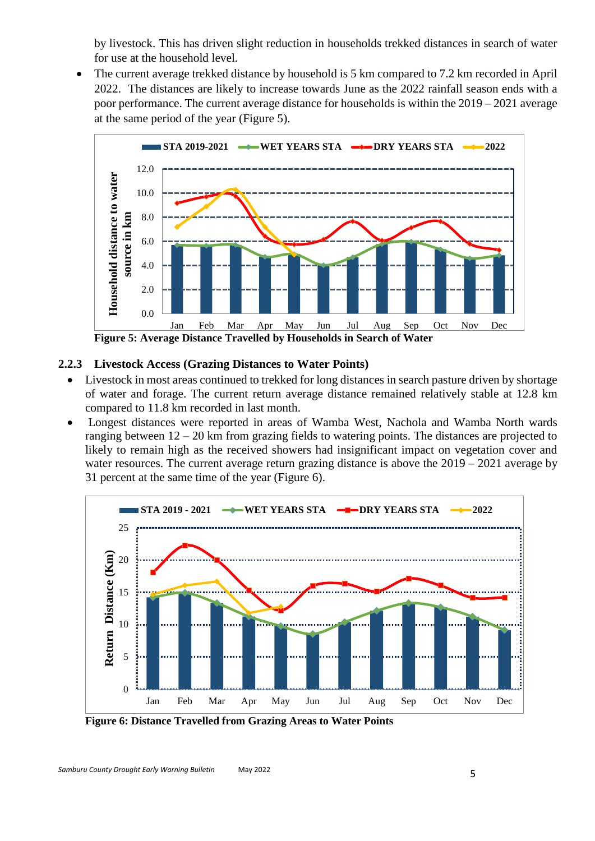by livestock. This has driven slight reduction in households trekked distances in search of water for use at the household level.

The current average trekked distance by household is 5 km compared to 7.2 km recorded in April 2022. The distances are likely to increase towards June as the 2022 rainfall season ends with a poor performance. The current average distance for households is within the 2019 – 2021 average at the same period of the year (Figure 5).



# **2.2.3 Livestock Access (Grazing Distances to Water Points)**

- Livestock in most areas continued to trekked for long distances in search pasture driven by shortage of water and forage. The current return average distance remained relatively stable at 12.8 km compared to 11.8 km recorded in last month.
- Longest distances were reported in areas of Wamba West, Nachola and Wamba North wards ranging between 12 – 20 km from grazing fields to watering points. The distances are projected to likely to remain high as the received showers had insignificant impact on vegetation cover and water resources. The current average return grazing distance is above the  $2019 - 2021$  average by 31 percent at the same time of the year (Figure 6).



**Figure 6: Distance Travelled from Grazing Areas to Water Points**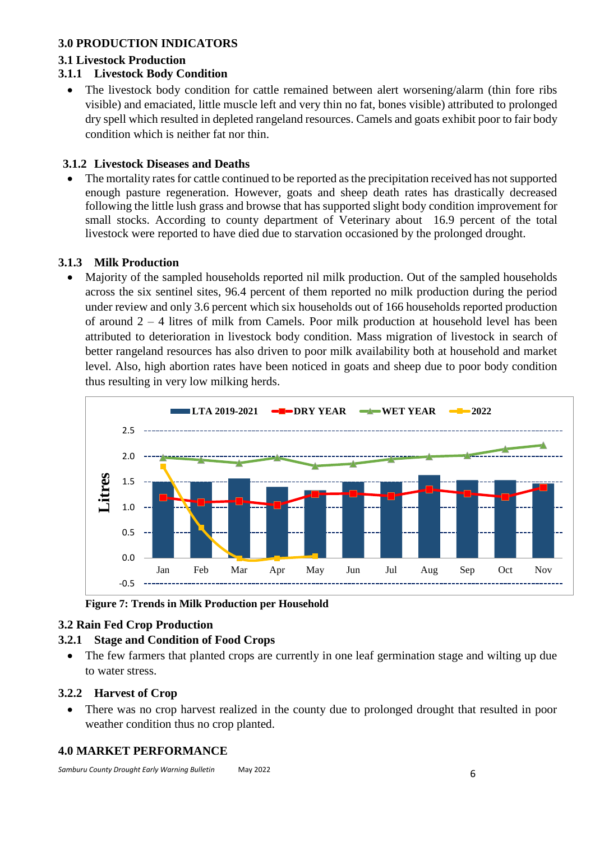### **3.0 PRODUCTION INDICATORS**

#### **3.1 Livestock Production**

### **3.1.1 Livestock Body Condition**

• The livestock body condition for cattle remained between alert worsening/alarm (thin fore ribs visible) and emaciated, little muscle left and very thin no fat, bones visible) attributed to prolonged dry spell which resulted in depleted rangeland resources. Camels and goats exhibit poor to fair body condition which is neither fat nor thin.

### **3.1.2 Livestock Diseases and Deaths**

• The mortality rates for cattle continued to be reported as the precipitation received has not supported enough pasture regeneration. However, goats and sheep death rates has drastically decreased following the little lush grass and browse that has supported slight body condition improvement for small stocks. According to county department of Veterinary about 16.9 percent of the total livestock were reported to have died due to starvation occasioned by the prolonged drought.

#### **3.1.3 Milk Production**

• Majority of the sampled households reported nil milk production. Out of the sampled households across the six sentinel sites, 96.4 percent of them reported no milk production during the period under review and only 3.6 percent which six households out of 166 households reported production of around 2 – 4 litres of milk from Camels. Poor milk production at household level has been attributed to deterioration in livestock body condition. Mass migration of livestock in search of better rangeland resources has also driven to poor milk availability both at household and market level. Also, high abortion rates have been noticed in goats and sheep due to poor body condition thus resulting in very low milking herds.



**Figure 7: Trends in Milk Production per Household**

# **3.2 Rain Fed Crop Production**

# **3.2.1 Stage and Condition of Food Crops**

• The few farmers that planted crops are currently in one leaf germination stage and wilting up due to water stress.

# **3.2.2 Harvest of Crop**

• There was no crop harvest realized in the county due to prolonged drought that resulted in poor weather condition thus no crop planted.

# **4.0 MARKET PERFORMANCE**

*Samburu County Drought Early Warning Bulletin* May <sup>2022</sup>6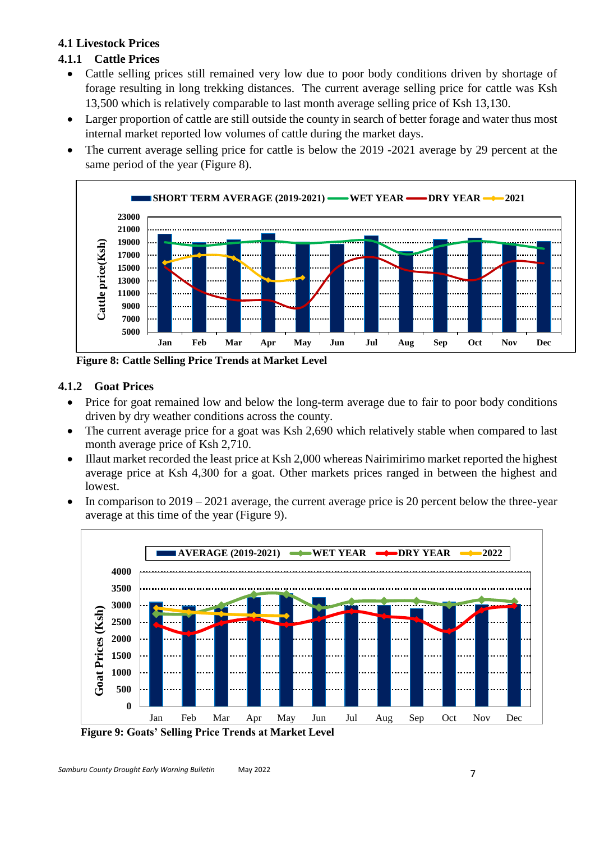### **4.1 Livestock Prices**

### **4.1.1 Cattle Prices**

- Cattle selling prices still remained very low due to poor body conditions driven by shortage of forage resulting in long trekking distances. The current average selling price for cattle was Ksh 13,500 which is relatively comparable to last month average selling price of Ksh 13,130.
- Larger proportion of cattle are still outside the county in search of better forage and water thus most internal market reported low volumes of cattle during the market days.
- The current average selling price for cattle is below the 2019 -2021 average by 29 percent at the same period of the year (Figure 8).



**Figure 8: Cattle Selling Price Trends at Market Level**

### **4.1.2 Goat Prices**

- Price for goat remained low and below the long-term average due to fair to poor body conditions driven by dry weather conditions across the county.
- The current average price for a goat was Ksh 2,690 which relatively stable when compared to last month average price of Ksh 2,710.
- Illaut market recorded the least price at Ksh 2,000 whereas Nairimirimo market reported the highest average price at Ksh 4,300 for a goat. Other markets prices ranged in between the highest and lowest.
- In comparison to  $2019 2021$  average, the current average price is 20 percent below the three-year average at this time of the year (Figure 9).



**Figure 9: Goats' Selling Price Trends at Market Level**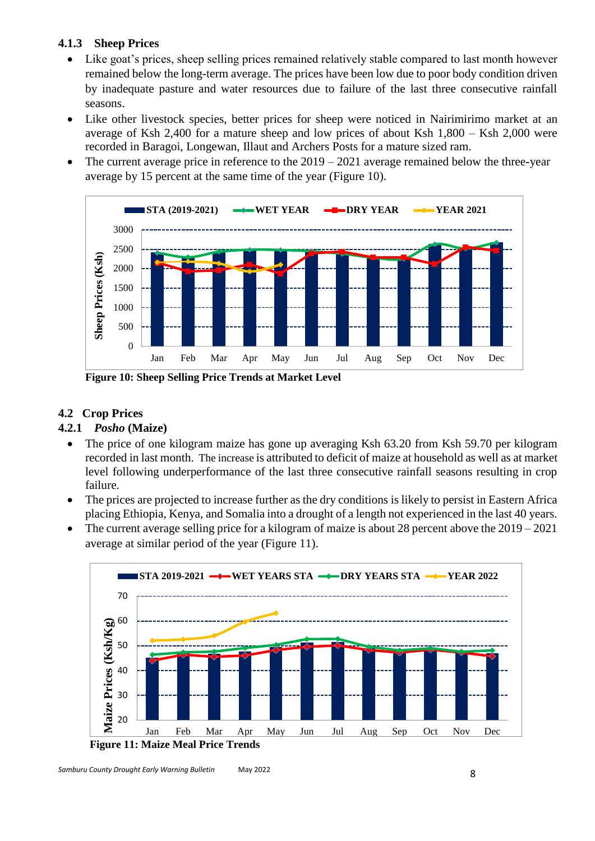### **4.1.3 Sheep Prices**

- Like goat's prices, sheep selling prices remained relatively stable compared to last month however remained below the long-term average. The prices have been low due to poor body condition driven by inadequate pasture and water resources due to failure of the last three consecutive rainfall seasons.
- Like other livestock species, better prices for sheep were noticed in Nairimirimo market at an average of Ksh 2,400 for a mature sheep and low prices of about Ksh 1,800 – Ksh 2,000 were recorded in Baragoi, Longewan, Illaut and Archers Posts for a mature sized ram.
- The current average price in reference to the  $2019 2021$  average remained below the three-year average by 15 percent at the same time of the year (Figure 10).



**Figure 10: Sheep Selling Price Trends at Market Level**

# **4.2 Crop Prices**

### **4.2.1** *Posho* **(Maize)**

- The price of one kilogram maize has gone up averaging Ksh 63.20 from Ksh 59.70 per kilogram recorded in last month. The increase is attributed to deficit of maize at household as well as at market level following underperformance of the last three consecutive rainfall seasons resulting in crop failure.
- The prices are projected to increase further as the dry conditions is likely to persist in Eastern Africa placing Ethiopia, Kenya, and Somalia into a drought of a length not experienced in the last 40 years.
- The current average selling price for a kilogram of maize is about 28 percent above the  $2019 2021$ average at similar period of the year (Figure 11).

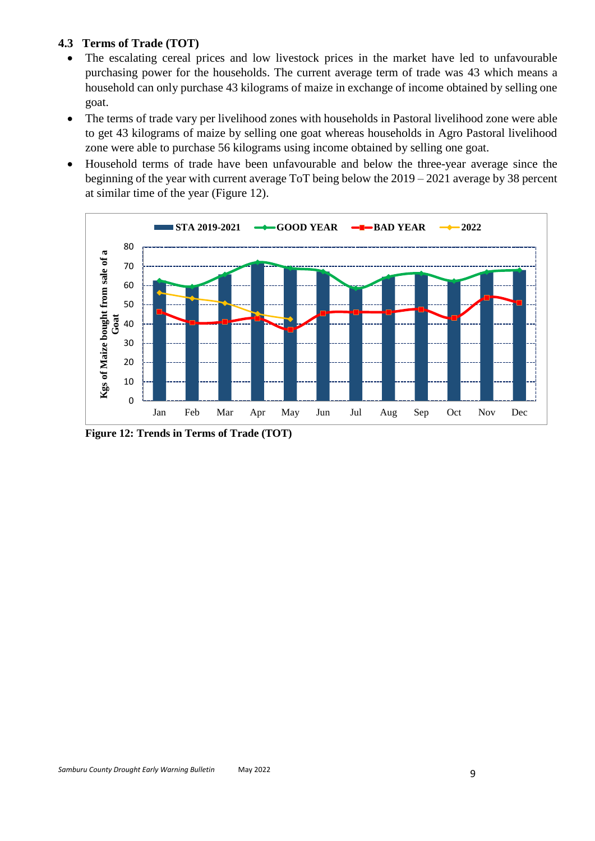### **4.3 Terms of Trade (TOT)**

- The escalating cereal prices and low livestock prices in the market have led to unfavourable purchasing power for the households. The current average term of trade was 43 which means a household can only purchase 43 kilograms of maize in exchange of income obtained by selling one goat.
- The terms of trade vary per livelihood zones with households in Pastoral livelihood zone were able to get 43 kilograms of maize by selling one goat whereas households in Agro Pastoral livelihood zone were able to purchase 56 kilograms using income obtained by selling one goat.
- Household terms of trade have been unfavourable and below the three-year average since the beginning of the year with current average ToT being below the 2019 – 2021 average by 38 percent at similar time of the year (Figure 12).



**Figure 12: Trends in Terms of Trade (TOT)**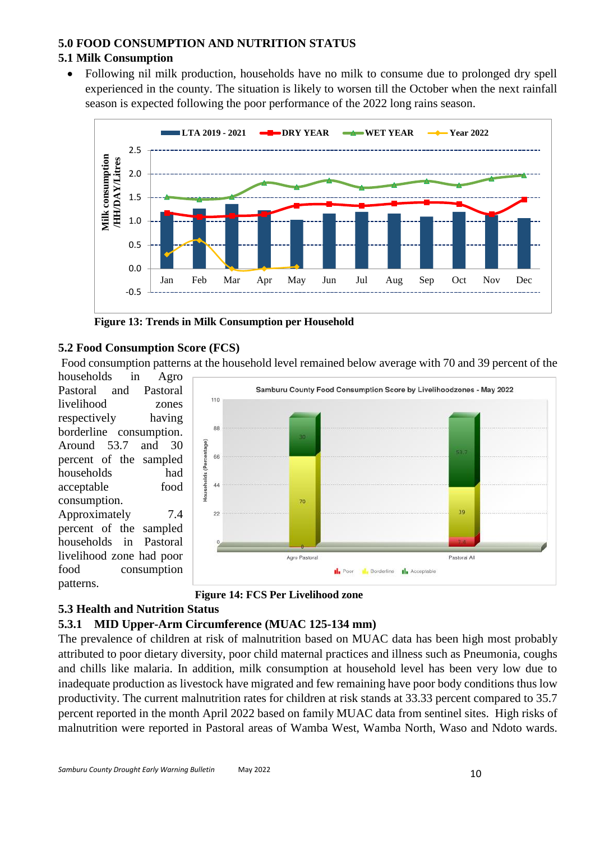#### **5.0 FOOD CONSUMPTION AND NUTRITION STATUS**

### **5.1 Milk Consumption**

• Following nil milk production, households have no milk to consume due to prolonged dry spell experienced in the county. The situation is likely to worsen till the October when the next rainfall season is expected following the poor performance of the 2022 long rains season.



**Figure 13: Trends in Milk Consumption per Household**

### **5.2 Food Consumption Score (FCS)**

Food consumption patterns at the household level remained below average with 70 and 39 percent of the households in Agro

Pastoral and Pastoral livelihood zones respectively having borderline consumption. Around 53.7 and 30 percent of the sampled households had acceptable food consumption. Approximately 7.4 percent of the sampled households in Pastoral livelihood zone had poor food consumption patterns.





### **5.3 Health and Nutrition Status**

### **5.3.1 MID Upper-Arm Circumference (MUAC 125-134 mm)**

The prevalence of children at risk of malnutrition based on MUAC data has been high most probably attributed to poor dietary diversity, poor child maternal practices and illness such as Pneumonia, coughs and chills like malaria. In addition, milk consumption at household level has been very low due to inadequate production as livestock have migrated and few remaining have poor body conditions thus low productivity. The current malnutrition rates for children at risk stands at 33.33 percent compared to 35.7 percent reported in the month April 2022 based on family MUAC data from sentinel sites. High risks of malnutrition were reported in Pastoral areas of Wamba West, Wamba North, Waso and Ndoto wards.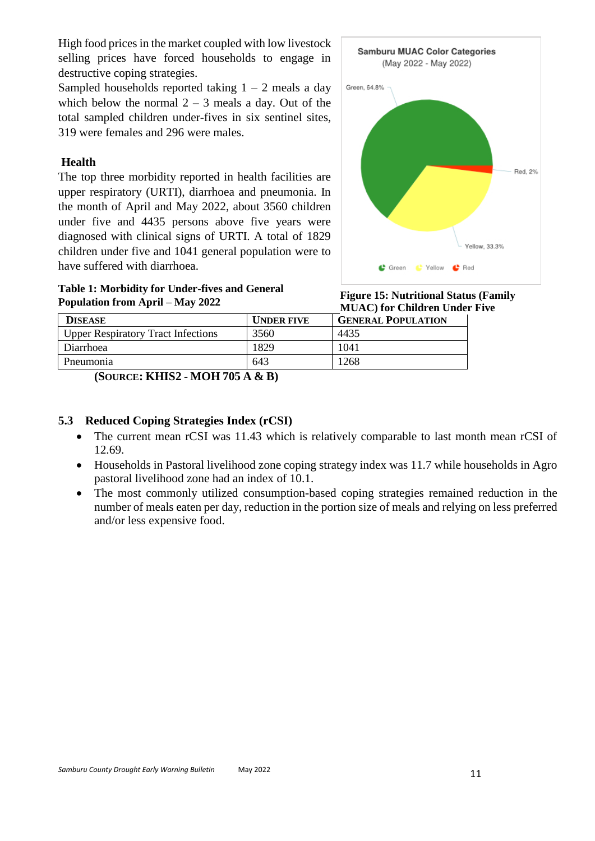High food prices in the market coupled with low livestock selling prices have forced households to engage in destructive coping strategies.

Sampled households reported taking  $1 - 2$  meals a day which below the normal  $2 - 3$  meals a day. Out of the total sampled children under-fives in six sentinel sites, 319 were females and 296 were males.

#### **Health**

The top three morbidity reported in health facilities are upper respiratory (URTI), diarrhoea and pneumonia. In the month of April and May 2022, about 3560 children under five and 4435 persons above five years were diagnosed with clinical signs of URTI. A total of 1829 children under five and 1041 general population were to have suffered with diarrhoea.

**Table 1: Morbidity for Under-fives and General Population from April – May 2022**





|                                            |                   | <b>Exploration</b> Charlen Chuc |  |  |
|--------------------------------------------|-------------------|---------------------------------|--|--|
| <b>DISEASE</b>                             | <b>UNDER FIVE</b> | <b>GENERAL POPULATION</b>       |  |  |
| Upper Respiratory Tract Infections         | 3560              | 4435                            |  |  |
| Diarrhoea                                  | 1829              | 1041                            |  |  |
| Pneumonia                                  | 643               | 1268                            |  |  |
| $\alpha$ . Titted is a set to the $\alpha$ |                   |                                 |  |  |

**(SOURCE: KHIS2 - MOH 705 A & B)**

### **5.3 Reduced Coping Strategies Index (rCSI)**

- The current mean rCSI was 11.43 which is relatively comparable to last month mean rCSI of 12.69.
- Households in Pastoral livelihood zone coping strategy index was 11.7 while households in Agro pastoral livelihood zone had an index of 10.1.
- The most commonly utilized consumption-based coping strategies remained reduction in the number of meals eaten per day, reduction in the portion size of meals and relying on less preferred and/or less expensive food.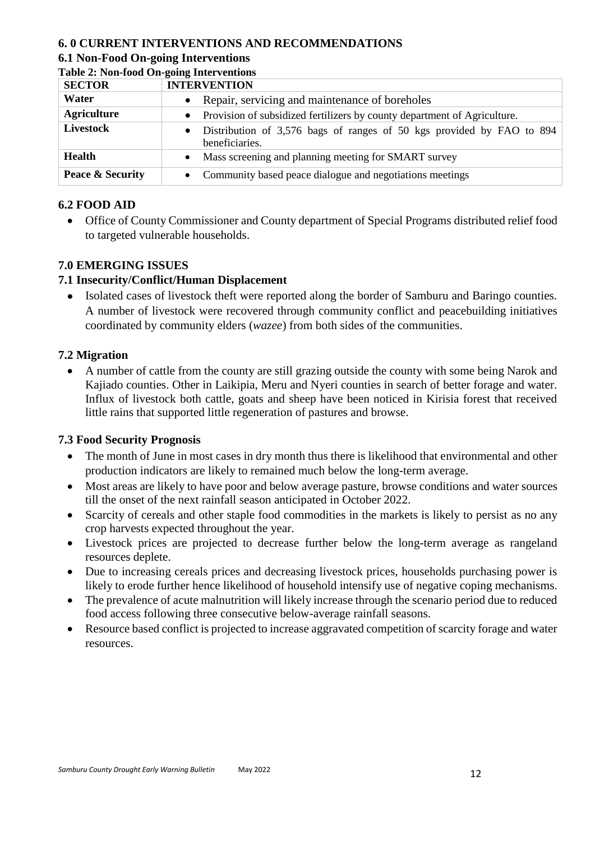### **6. 0 CURRENT INTERVENTIONS AND RECOMMENDATIONS**

#### **6.1 Non-Food On-going Interventions Table 2: Non-food On-going Interventions**

| Table 2. Ton Tood On going meet vehitons<br><b>SECTOR</b> | <b>INTERVENTION</b>                                                                                  |
|-----------------------------------------------------------|------------------------------------------------------------------------------------------------------|
|                                                           |                                                                                                      |
| Water                                                     | • Repair, servicing and maintenance of boreholes                                                     |
| <b>Agriculture</b>                                        | • Provision of subsidized fertilizers by county department of Agriculture.                           |
| Livestock                                                 | Distribution of 3,576 bags of ranges of 50 kgs provided by FAO to 894<br>$\bullet$<br>beneficiaries. |
| <b>Health</b>                                             | Mass screening and planning meeting for SMART survey                                                 |
| Peace & Security                                          | Community based peace dialogue and negotiations meetings                                             |

### **6.2 FOOD AID**

• Office of County Commissioner and County department of Special Programs distributed relief food to targeted vulnerable households.

#### **7.0 EMERGING ISSUES**

### **7.1 Insecurity/Conflict/Human Displacement**

• Isolated cases of livestock theft were reported along the border of Samburu and Baringo counties. A number of livestock were recovered through community conflict and peacebuilding initiatives coordinated by community elders (*wazee*) from both sides of the communities.

#### **7.2 Migration**

• A number of cattle from the county are still grazing outside the county with some being Narok and Kajiado counties. Other in Laikipia, Meru and Nyeri counties in search of better forage and water. Influx of livestock both cattle, goats and sheep have been noticed in Kirisia forest that received little rains that supported little regeneration of pastures and browse.

#### **7.3 Food Security Prognosis**

- The month of June in most cases in dry month thus there is likelihood that environmental and other production indicators are likely to remained much below the long-term average.
- Most areas are likely to have poor and below average pasture, browse conditions and water sources till the onset of the next rainfall season anticipated in October 2022.
- Scarcity of cereals and other staple food commodities in the markets is likely to persist as no any crop harvests expected throughout the year.
- Livestock prices are projected to decrease further below the long-term average as rangeland resources deplete.
- Due to increasing cereals prices and decreasing livestock prices, households purchasing power is likely to erode further hence likelihood of household intensify use of negative coping mechanisms.
- The prevalence of acute malnutrition will likely increase through the scenario period due to reduced food access following three consecutive below-average rainfall seasons.
- Resource based conflict is projected to increase aggravated competition of scarcity forage and water resources.